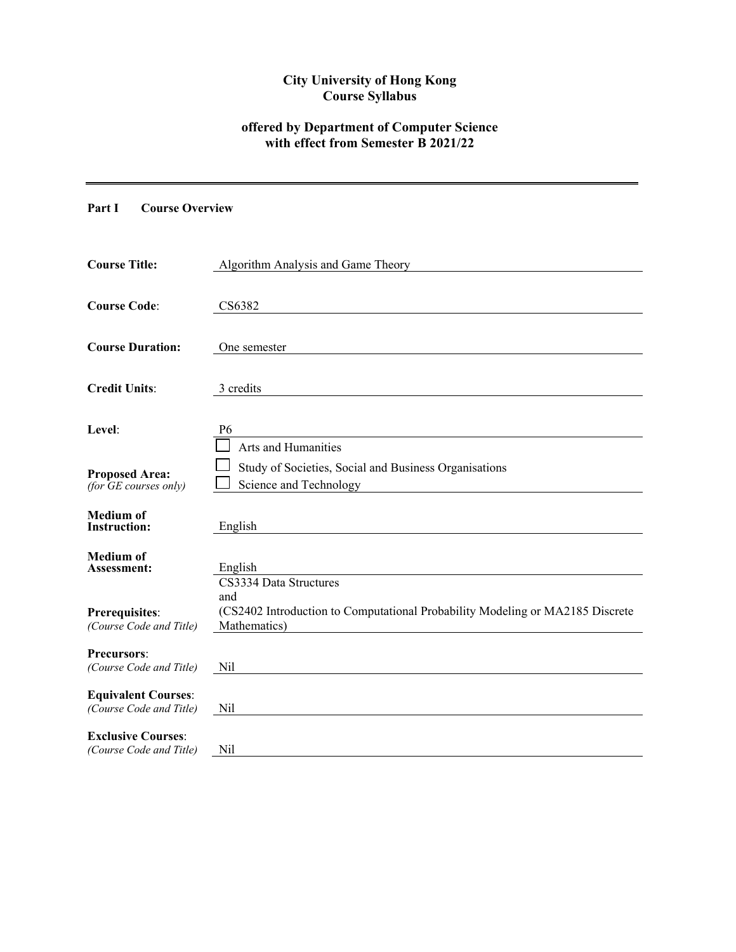# **City University of Hong Kong Course Syllabus**

# **offered by Department of Computer Science with effect from Semester B 2021/22**

# **Part I Course Overview**

| <b>Course Title:</b>                                  | Algorithm Analysis and Game Theory                                                                                             |
|-------------------------------------------------------|--------------------------------------------------------------------------------------------------------------------------------|
| <b>Course Code:</b>                                   | CS6382                                                                                                                         |
| <b>Course Duration:</b>                               | One semester                                                                                                                   |
| <b>Credit Units:</b>                                  | 3 credits                                                                                                                      |
| Level:                                                | P <sub>6</sub><br>Arts and Humanities                                                                                          |
| <b>Proposed Area:</b><br>(for GE courses only)        | Study of Societies, Social and Business Organisations<br>Science and Technology                                                |
| <b>Medium</b> of<br><b>Instruction:</b>               | English                                                                                                                        |
| <b>Medium of</b><br>Assessment:                       | English                                                                                                                        |
| Prerequisites:<br>(Course Code and Title)             | CS3334 Data Structures<br>and<br>(CS2402 Introduction to Computational Probability Modeling or MA2185 Discrete<br>Mathematics) |
| Precursors:<br>(Course Code and Title)                | Nil                                                                                                                            |
| <b>Equivalent Courses:</b><br>(Course Code and Title) | Nil                                                                                                                            |
| <b>Exclusive Courses:</b><br>(Course Code and Title)  | Nil                                                                                                                            |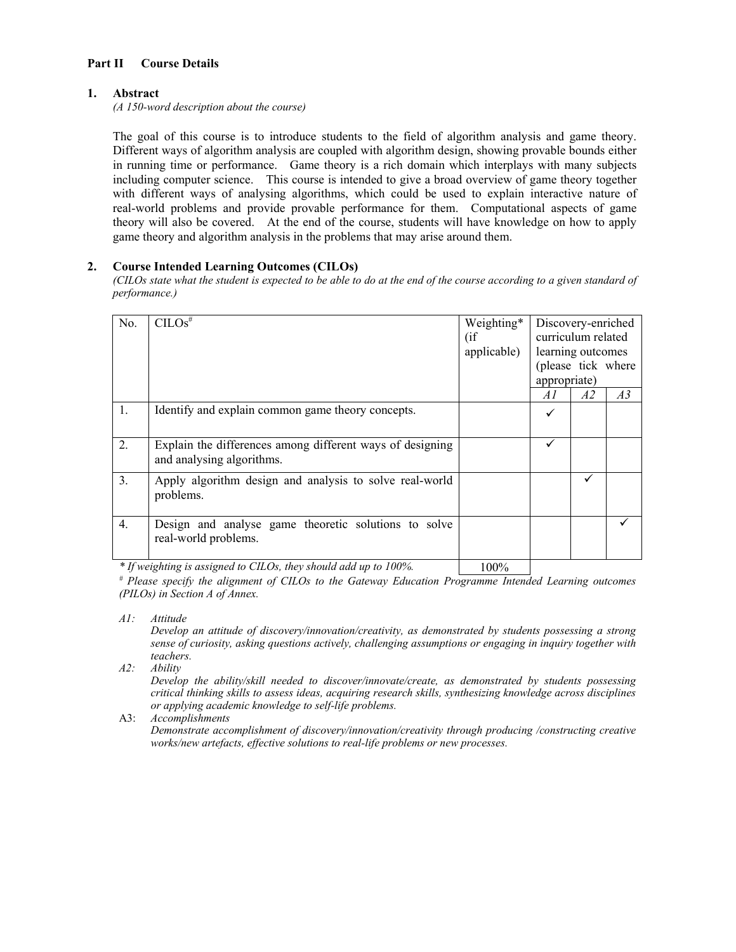## **Part II Course Details**

#### **1. Abstract**

*(A 150-word description about the course)* 

The goal of this course is to introduce students to the field of algorithm analysis and game theory. Different ways of algorithm analysis are coupled with algorithm design, showing provable bounds either in running time or performance. Game theory is a rich domain which interplays with many subjects including computer science. This course is intended to give a broad overview of game theory together with different ways of analysing algorithms, which could be used to explain interactive nature of real-world problems and provide provable performance for them. Computational aspects of game theory will also be covered. At the end of the course, students will have knowledge on how to apply game theory and algorithm analysis in the problems that may arise around them.

### **2. Course Intended Learning Outcomes (CILOs)**

*(CILOs state what the student is expected to be able to do at the end of the course according to a given standard of performance.)* 

| No. | CILOS <sup>#</sup>                                                                     | Weighting*  |              | Discovery-enriched |                |
|-----|----------------------------------------------------------------------------------------|-------------|--------------|--------------------|----------------|
|     |                                                                                        | (i f)       |              | curriculum related |                |
|     |                                                                                        | applicable) |              | learning outcomes  |                |
|     |                                                                                        |             |              | (please tick where |                |
|     |                                                                                        |             | appropriate) |                    |                |
|     |                                                                                        |             | A I          | A2                 | A <sub>3</sub> |
| 1.  | Identify and explain common game theory concepts.                                      |             | ✓            |                    |                |
| 2.  | Explain the differences among different ways of designing<br>and analysing algorithms. |             | ✓            |                    |                |
| 3.  | Apply algorithm design and analysis to solve real-world<br>problems.                   |             |              |                    |                |
| 4.  | Design and analyse game theoretic solutions to solve<br>real-world problems.           |             |              |                    |                |
|     | * If weighting is assigned to CILOs, they should add up to 100%.                       | 100%        |              |                    |                |

*If weighting is assigned to CILOs, they should add up to 100%.* 100%

*# Please specify the alignment of CILOs to the Gateway Education Programme Intended Learning outcomes (PILOs) in Section A of Annex.* 

*A1: Attitude* 

*Develop an attitude of discovery/innovation/creativity, as demonstrated by students possessing a strong sense of curiosity, asking questions actively, challenging assumptions or engaging in inquiry together with teachers.* 

*A2: Ability* 

*Develop the ability/skill needed to discover/innovate/create, as demonstrated by students possessing critical thinking skills to assess ideas, acquiring research skills, synthesizing knowledge across disciplines or applying academic knowledge to self-life problems.* 

A3: *Accomplishments* 

*Demonstrate accomplishment of discovery/innovation/creativity through producing /constructing creative works/new artefacts, effective solutions to real-life problems or new processes.*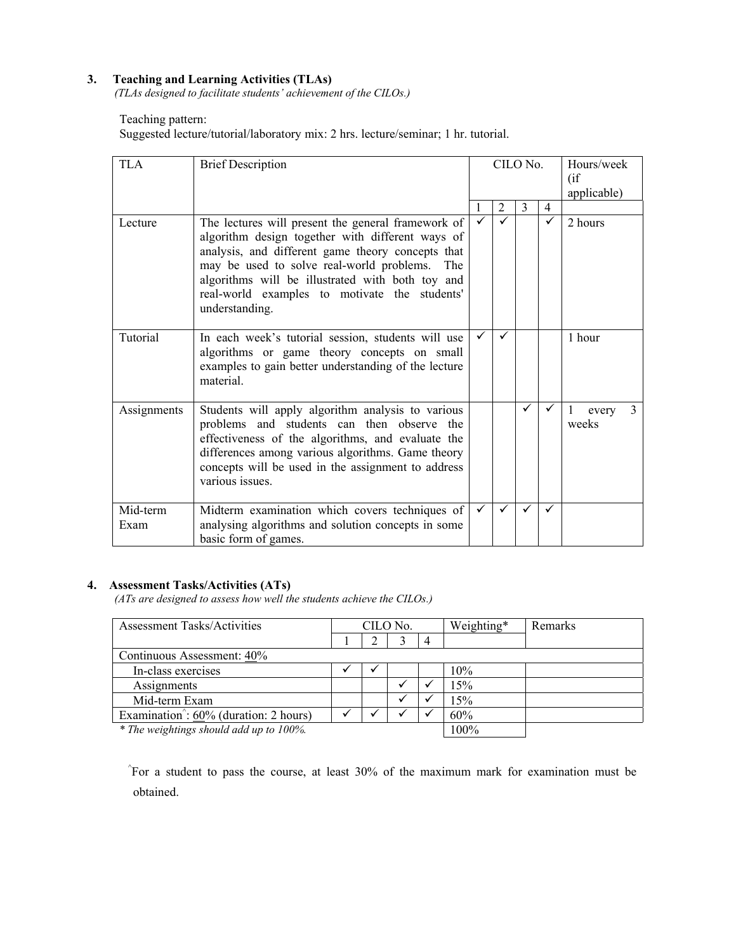## **3. Teaching and Learning Activities (TLAs)**

*(TLAs designed to facilitate students' achievement of the CILOs.)* 

# Teaching pattern:

Suggested lecture/tutorial/laboratory mix: 2 hrs. lecture/seminar; 1 hr. tutorial.

| <b>TLA</b>       | <b>Brief Description</b>                                                                                                                                                                                                                                                                                                               | CILO No.     |   |   |                | Hours/week<br>(i f)<br>applicable) |  |
|------------------|----------------------------------------------------------------------------------------------------------------------------------------------------------------------------------------------------------------------------------------------------------------------------------------------------------------------------------------|--------------|---|---|----------------|------------------------------------|--|
|                  |                                                                                                                                                                                                                                                                                                                                        |              | 2 | 3 | $\overline{4}$ |                                    |  |
| Lecture          | The lectures will present the general framework of<br>algorithm design together with different ways of<br>analysis, and different game theory concepts that<br>may be used to solve real-world problems.<br>The<br>algorithms will be illustrated with both toy and<br>real-world examples to motivate the students'<br>understanding. |              |   |   | ✓              | 2 hours                            |  |
| Tutorial         | In each week's tutorial session, students will use<br>algorithms or game theory concepts on small<br>examples to gain better understanding of the lecture<br>material.                                                                                                                                                                 | $\checkmark$ | ✓ |   |                | 1 hour                             |  |
| Assignments      | Students will apply algorithm analysis to various<br>problems and students can then observe the<br>effectiveness of the algorithms, and evaluate the<br>differences among various algorithms. Game theory<br>concepts will be used in the assignment to address<br>various issues.                                                     |              |   | ✓ | ✓              | 3<br>1<br>every<br>weeks           |  |
| Mid-term<br>Exam | Midterm examination which covers techniques of<br>analysing algorithms and solution concepts in some<br>basic form of games.                                                                                                                                                                                                           | $\checkmark$ |   | ✓ | ✓              |                                    |  |

#### **4. Assessment Tasks/Activities (ATs)**

*(ATs are designed to assess how well the students achieve the CILOs.)* 

| Assessment Tasks/Activities                                           | CILO No. |  |  |      | Weighting* | Remarks |
|-----------------------------------------------------------------------|----------|--|--|------|------------|---------|
|                                                                       |          |  |  | 4    |            |         |
| Continuous Assessment: 40%                                            |          |  |  |      |            |         |
| In-class exercises                                                    |          |  |  |      | 10%        |         |
| Assignments                                                           |          |  |  |      | 15%        |         |
| Mid-term Exam                                                         |          |  |  |      | 15%        |         |
| Examination <sup><math>\hat{ }</math></sup> : 60% (duration: 2 hours) |          |  |  |      | 60%        |         |
| * The weightings should add up to 100%.                               |          |  |  | 100% |            |         |

^ For a student to pass the course, at least 30% of the maximum mark for examination must be obtained.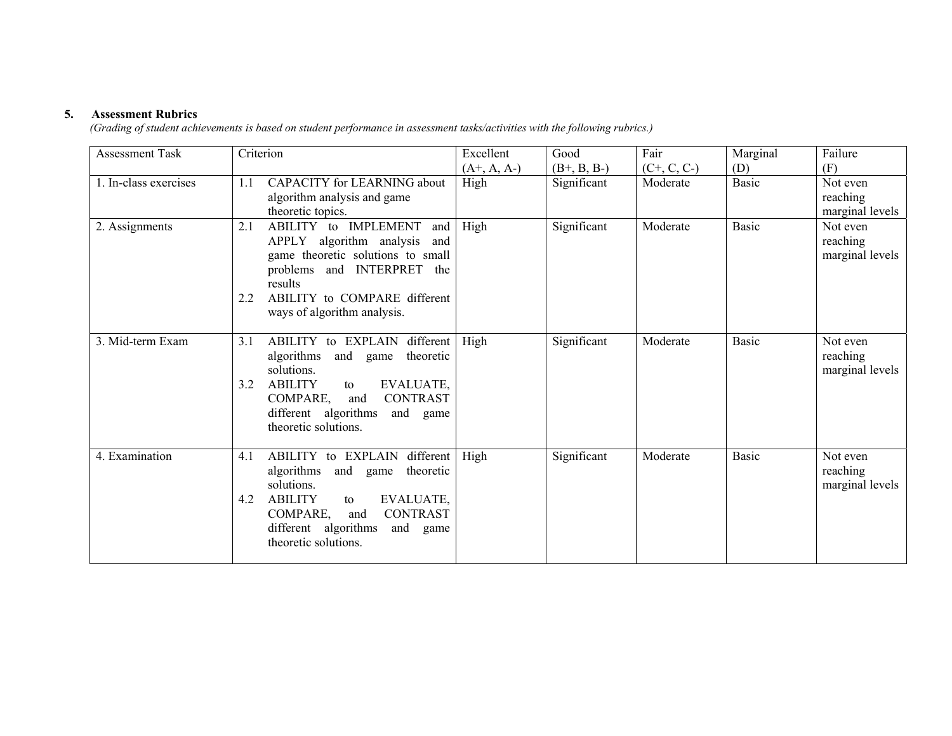#### **5. Assessment Rubrics**

*(Grading of student achievements is based on student performance in assessment tasks/activities with the following rubrics.)* 

| <b>Assessment Task</b> | Criterion                                                                                                                                                                                                                                    | Excellent<br>$(A+, A, A-)$ | Good<br>$(B+, B, B-)$ | Fair<br>$(C+, C, C-)$ | Marginal<br>(D) | Failure<br>(F)                          |
|------------------------|----------------------------------------------------------------------------------------------------------------------------------------------------------------------------------------------------------------------------------------------|----------------------------|-----------------------|-----------------------|-----------------|-----------------------------------------|
| 1. In-class exercises  | CAPACITY for LEARNING about<br>1.1<br>algorithm analysis and game<br>theoretic topics.                                                                                                                                                       | High                       | Significant           | Moderate              | Basic           | Not even<br>reaching<br>marginal levels |
| 2. Assignments         | ABILITY to IMPLEMENT<br>2.1<br>and<br>APPLY algorithm analysis<br>and<br>game theoretic solutions to small<br>problems and INTERPRET the<br>results<br>ABILITY to COMPARE different<br>2.2<br>ways of algorithm analysis.                    | High                       | Significant           | Moderate              | Basic           | Not even<br>reaching<br>marginal levels |
| 3. Mid-term Exam       | ABILITY to EXPLAIN different<br>3.1<br>algorithms<br>theoretic<br>and game<br>solutions.<br><b>ABILITY</b><br>EVALUATE,<br>3.2<br>to<br>COMPARE,<br><b>CONTRAST</b><br>and<br>different algorithms<br>and game<br>theoretic solutions.       | High                       | Significant           | Moderate              | Basic           | Not even<br>reaching<br>marginal levels |
| 4. Examination         | ABILITY to EXPLAIN<br>different<br>4.1<br>algorithms<br>theoretic<br>and<br>game<br>solutions.<br><b>ABILITY</b><br>EVALUATE,<br>4.2<br>to<br><b>CONTRAST</b><br>COMPARE,<br>and<br>different algorithms<br>and game<br>theoretic solutions. | High                       | Significant           | Moderate              | Basic           | Not even<br>reaching<br>marginal levels |